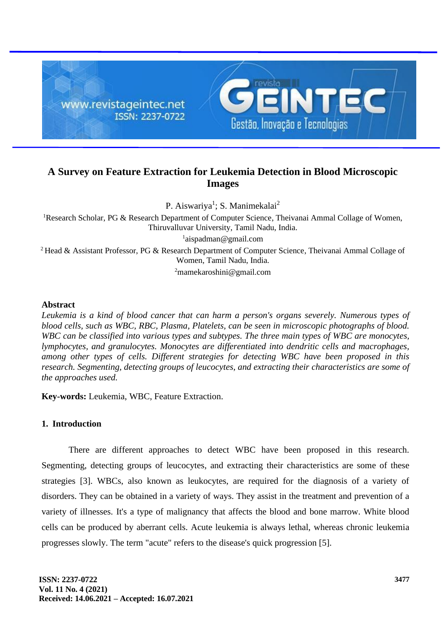

# **A Survey on Feature Extraction for Leukemia Detection in Blood Microscopic Images**

P. Aiswariya<sup>1</sup>; S. Manimekalai<sup>2</sup>

<sup>1</sup>Research Scholar, PG & Research Department of Computer Science, Theivanai Ammal Collage of Women, Thiruvalluvar University, Tamil Nadu, India. 1 aispadman@gmail.com <sup>2</sup> Head & Assistant Professor, PG & Research Department of Computer Science, Theivanai Ammal Collage of Women, Tamil Nadu, India.

<sup>2</sup>mamekaroshini@gmail.com

### **Abstract**

*Leukemia is a kind of blood cancer that can harm a person's organs severely. Numerous types of blood cells, such as WBC, RBC, Plasma, Platelets, can be seen in microscopic photographs of blood. WBC can be classified into various types and subtypes. The three main types of WBC are monocytes, lymphocytes, and granulocytes. Monocytes are differentiated into dendritic cells and macrophages, among other types of cells. Different strategies for detecting WBC have been proposed in this research. Segmenting, detecting groups of leucocytes, and extracting their characteristics are some of the approaches used.*

**Key-words:** Leukemia, WBC, Feature Extraction.

## **1. Introduction**

There are different approaches to detect WBC have been proposed in this research. Segmenting, detecting groups of leucocytes, and extracting their characteristics are some of these strategies [3]. WBCs, also known as leukocytes, are required for the diagnosis of a variety of disorders. They can be obtained in a variety of ways. They assist in the treatment and prevention of a variety of illnesses. It's a type of malignancy that affects the blood and bone marrow. White blood cells can be produced by aberrant cells. Acute leukemia is always lethal, whereas chronic leukemia progresses slowly. The term "acute" refers to the disease's quick progression [5].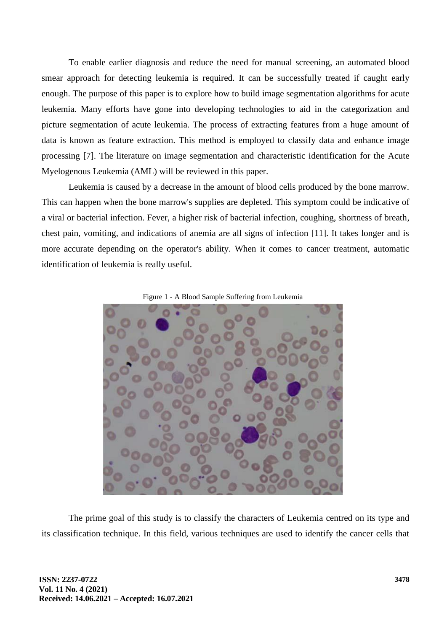To enable earlier diagnosis and reduce the need for manual screening, an automated blood smear approach for detecting leukemia is required. It can be successfully treated if caught early enough. The purpose of this paper is to explore how to build image segmentation algorithms for acute leukemia. Many efforts have gone into developing technologies to aid in the categorization and picture segmentation of acute leukemia. The process of extracting features from a huge amount of data is known as feature extraction. This method is employed to classify data and enhance image processing [7]. The literature on image segmentation and characteristic identification for the Acute Myelogenous Leukemia (AML) will be reviewed in this paper.

Leukemia is caused by a decrease in the amount of blood cells produced by the bone marrow. This can happen when the bone marrow's supplies are depleted. This symptom could be indicative of a viral or bacterial infection. Fever, a higher risk of bacterial infection, coughing, shortness of breath, chest pain, vomiting, and indications of anemia are all signs of infection [11]. It takes longer and is more accurate depending on the operator's ability. When it comes to cancer treatment, automatic identification of leukemia is really useful.





The prime goal of this study is to classify the characters of Leukemia centred on its type and its classification technique. In this field, various techniques are used to identify the cancer cells that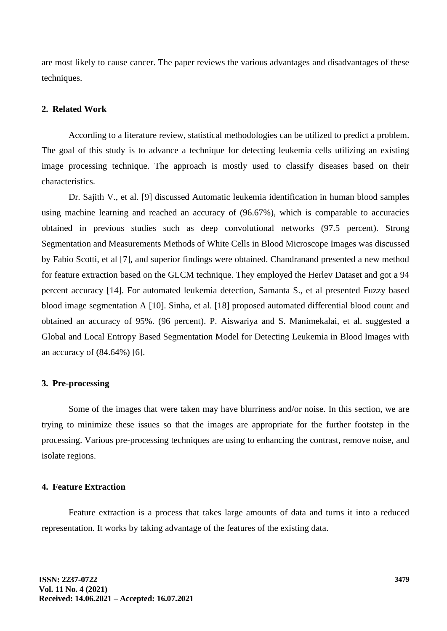are most likely to cause cancer. The paper reviews the various advantages and disadvantages of these techniques.

## **2. Related Work**

According to a literature review, statistical methodologies can be utilized to predict a problem. The goal of this study is to advance a technique for detecting leukemia cells utilizing an existing image processing technique. The approach is mostly used to classify diseases based on their characteristics.

Dr. Sajith V., et al. [9] discussed Automatic leukemia identification in human blood samples using machine learning and reached an accuracy of (96.67%), which is comparable to accuracies obtained in previous studies such as deep convolutional networks (97.5 percent). Strong Segmentation and Measurements Methods of White Cells in Blood Microscope Images was discussed by Fabio Scotti, et al [7], and superior findings were obtained. Chandranand presented a new method for feature extraction based on the GLCM technique. They employed the Herlev Dataset and got a 94 percent accuracy [14]. For automated leukemia detection, Samanta S., et al presented Fuzzy based blood image segmentation A [10]. Sinha, et al. [18] proposed automated differential blood count and obtained an accuracy of 95%. (96 percent). P. Aiswariya and S. Manimekalai, et al. suggested a Global and Local Entropy Based Segmentation Model for Detecting Leukemia in Blood Images with an accuracy of (84.64%) [6].

#### **3. Pre-processing**

Some of the images that were taken may have blurriness and/or noise. In this section, we are trying to minimize these issues so that the images are appropriate for the further footstep in the processing. Various pre-processing techniques are using to enhancing the contrast, remove noise, and isolate regions.

#### **4. Feature Extraction**

Feature extraction is a process that takes large amounts of data and turns it into a reduced representation. It works by taking advantage of the features of the existing data.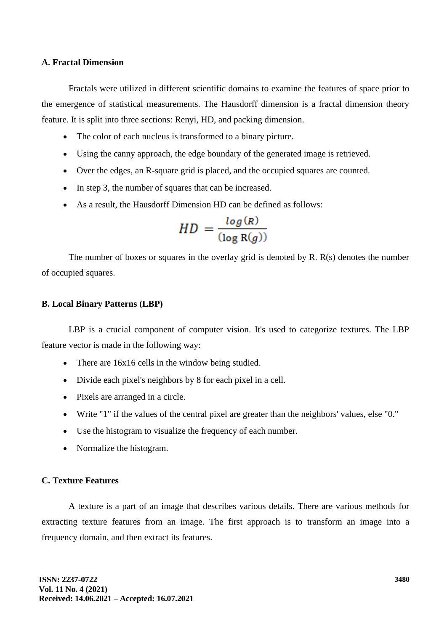#### **A. Fractal Dimension**

Fractals were utilized in different scientific domains to examine the features of space prior to the emergence of statistical measurements. The Hausdorff dimension is a fractal dimension theory feature. It is split into three sections: Renyi, HD, and packing dimension.

- The color of each nucleus is transformed to a binary picture.
- Using the canny approach, the edge boundary of the generated image is retrieved.
- Over the edges, an R-square grid is placed, and the occupied squares are counted.
- In step 3, the number of squares that can be increased.
- As a result, the Hausdorff Dimension HD can be defined as follows:

$$
HD = \frac{\log(R)}{(\log R(g))}
$$

The number of boxes or squares in the overlay grid is denoted by R. R(s) denotes the number of occupied squares.

### **B. Local Binary Patterns (LBP)**

LBP is a crucial component of computer vision. It's used to categorize textures. The LBP feature vector is made in the following way:

- There are  $16x16$  cells in the window being studied.
- Divide each pixel's neighbors by 8 for each pixel in a cell.
- Pixels are arranged in a circle.
- Write "1" if the values of the central pixel are greater than the neighbors' values, else "0."
- Use the histogram to visualize the frequency of each number.
- Normalize the histogram.

## **C. Texture Features**

A texture is a part of an image that describes various details. There are various methods for extracting texture features from an image. The first approach is to transform an image into a frequency domain, and then extract its features.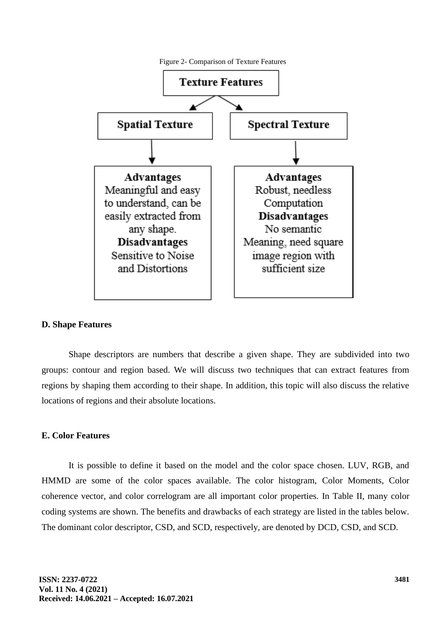

### **D. Shape Features**

Shape descriptors are numbers that describe a given shape. They are subdivided into two groups: contour and region based. We will discuss two techniques that can extract features from regions by shaping them according to their shape. In addition, this topic will also discuss the relative locations of regions and their absolute locations.

#### **E. Color Features**

It is possible to define it based on the model and the color space chosen. LUV, RGB, and HMMD are some of the color spaces available. The color histogram, Color Moments, Color coherence vector, and color correlogram are all important color properties. In Table II, many color coding systems are shown. The benefits and drawbacks of each strategy are listed in the tables below. The dominant color descriptor, CSD, and SCD, respectively, are denoted by DCD, CSD, and SCD.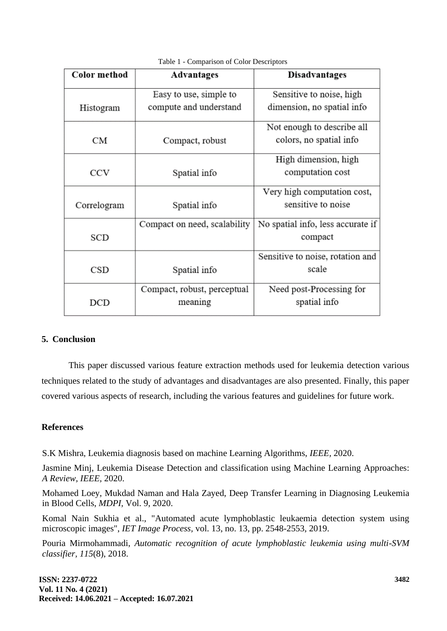| Color method | <b>Advantages</b>            | <b>Disadvantages</b>              |
|--------------|------------------------------|-----------------------------------|
|              | Easy to use, simple to       | Sensitive to noise, high          |
| Histogram    | compute and understand       | dimension, no spatial info        |
|              |                              | Not enough to describe all        |
| CМ           | Compact, robust              | colors, no spatial info           |
|              |                              | High dimension, high              |
| <b>CCV</b>   | Spatial info                 | computation cost                  |
|              |                              | Very high computation cost,       |
| Correlogram  | Spatial info                 | sensitive to noise                |
|              | Compact on need, scalability | No spatial info, less accurate if |
| <b>SCD</b>   |                              | compact                           |
|              |                              | Sensitive to noise, rotation and  |
| CSD          | Spatial info                 | scale                             |
|              | Compact, robust, perceptual  | Need post-Processing for          |
| DCD          | meaning                      | spatial info                      |

#### Table 1 - Comparison of Color Descriptors

### **5. Conclusion**

This paper discussed various feature extraction methods used for leukemia detection various techniques related to the study of advantages and disadvantages are also presented. Finally, this paper covered various aspects of research, including the various features and guidelines for future work.

### **References**

S.K Mishra, Leukemia diagnosis based on machine Learning Algorithms, *IEEE,* 2020.

Jasmine Minj, Leukemia Disease Detection and classification using Machine Learning Approaches: *A Review, IEEE,* 2020.

Mohamed Loey, Mukdad Naman and Hala Zayed, Deep Transfer Learning in Diagnosing Leukemia in Blood Cells, *MDPI,* Vol. 9, 2020.

Komal Nain Sukhia et al., "Automated acute lymphoblastic leukaemia detection system using microscopic images", *IET Image Process,* vol. 13, no. 13, pp. 2548-2553, 2019.

Pouria Mirmohammadi, *Automatic recognition of acute lymphoblastic leukemia using multi-SVM classifier, 115*(8), 2018.

**ISSN: 2237-0722 Vol. 11 No. 4 (2021) Received: 14.06.2021 – Accepted: 16.07.2021**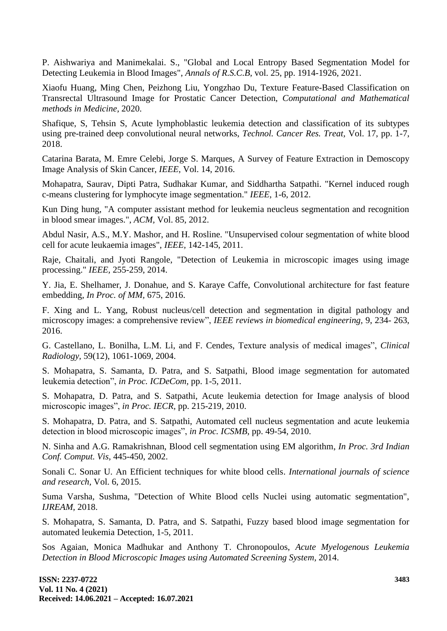P. Aishwariya and Manimekalai. S., "Global and Local Entropy Based Segmentation Model for Detecting Leukemia in Blood Images", *Annals of R.S.C.B,* vol. 25, pp. 1914-1926, 2021.

Xiaofu Huang, Ming Chen, Peizhong Liu, Yongzhao Du, Texture Feature-Based Classification on Transrectal Ultrasound Image for Prostatic Cancer Detection, *Computational and Mathematical methods in Medicine,* 2020.

Shafique, S, Tehsin S, Acute lymphoblastic leukemia detection and classification of its subtypes using pre-trained deep convolutional neural networks, *Technol. Cancer Res. Treat,* Vol. 17, pp. 1-7, 2018.

Catarina Barata, M. Emre Celebi, Jorge S. Marques, A Survey of Feature Extraction in Demoscopy Image Analysis of Skin Cancer, *IEEE,* Vol. 14, 2016.

Mohapatra, Saurav, Dipti Patra, Sudhakar Kumar, and Siddhartha Satpathi. "Kernel induced rough c-means clustering for lymphocyte image segmentation." *IEEE,* 1-6, 2012.

Kun Ding hung, "A computer assistant method for leukemia neucleus segmentation and recognition in blood smear images.", *ACM,* Vol. 85, 2012.

Abdul Nasir, A.S., M.Y. Mashor, and H. Rosline. "Unsupervised colour segmentation of white blood cell for acute leukaemia images", *IEEE,* 142-145, 2011.

Raje, Chaitali, and Jyoti Rangole, "Detection of Leukemia in microscopic images using image processing." *IEEE,* 255-259, 2014.

Y. Jia, E. Shelhamer, J. Donahue, and S. Karaye Caffe, Convolutional architecture for fast feature embedding, *In Proc. of MM,* 675, 2016.

F. Xing and L. Yang, Robust nucleus/cell detection and segmentation in digital pathology and microscopy images: a comprehensive review", *IEEE reviews in biomedical engineering,* 9, 234- 263, 2016.

G. Castellano, L. Bonilha, L.M. Li, and F. Cendes, Texture analysis of medical images", *Clinical Radiology,* 59(12), 1061-1069, 2004.

S. Mohapatra, S. Samanta, D. Patra, and S. Satpathi, Blood image segmentation for automated leukemia detection", *in Proc. ICDeCom,* pp. 1-5, 2011.

S. Mohapatra, D. Patra, and S. Satpathi, Acute leukemia detection for Image analysis of blood microscopic images", *in Proc. IECR,* pp. 215-219, 2010.

S. Mohapatra, D. Patra, and S. Satpathi, Automated cell nucleus segmentation and acute leukemia detection in blood microscopic images", *in Proc. ICSMB,* pp. 49-54, 2010.

N. Sinha and A.G. Ramakrishnan, Blood cell segmentation using EM algorithm, *In Proc. 3rd Indian Conf. Comput. Vis,* 445-450, 2002.

Sonali C. Sonar U. An Efficient techniques for white blood cells. *International journals of science and research,* Vol. 6, 2015.

Suma Varsha, Sushma, "Detection of White Blood cells Nuclei using automatic segmentation", *IJREAM,* 2018.

S. Mohapatra, S. Samanta, D. Patra, and S. Satpathi, Fuzzy based blood image segmentation for automated leukemia Detection, 1-5, 2011.

Sos Agaian, Monica Madhukar and Anthony T. Chronopoulos, *Acute Myelogenous Leukemia Detection in Blood Microscopic Images using Automated Screening System,* 2014.